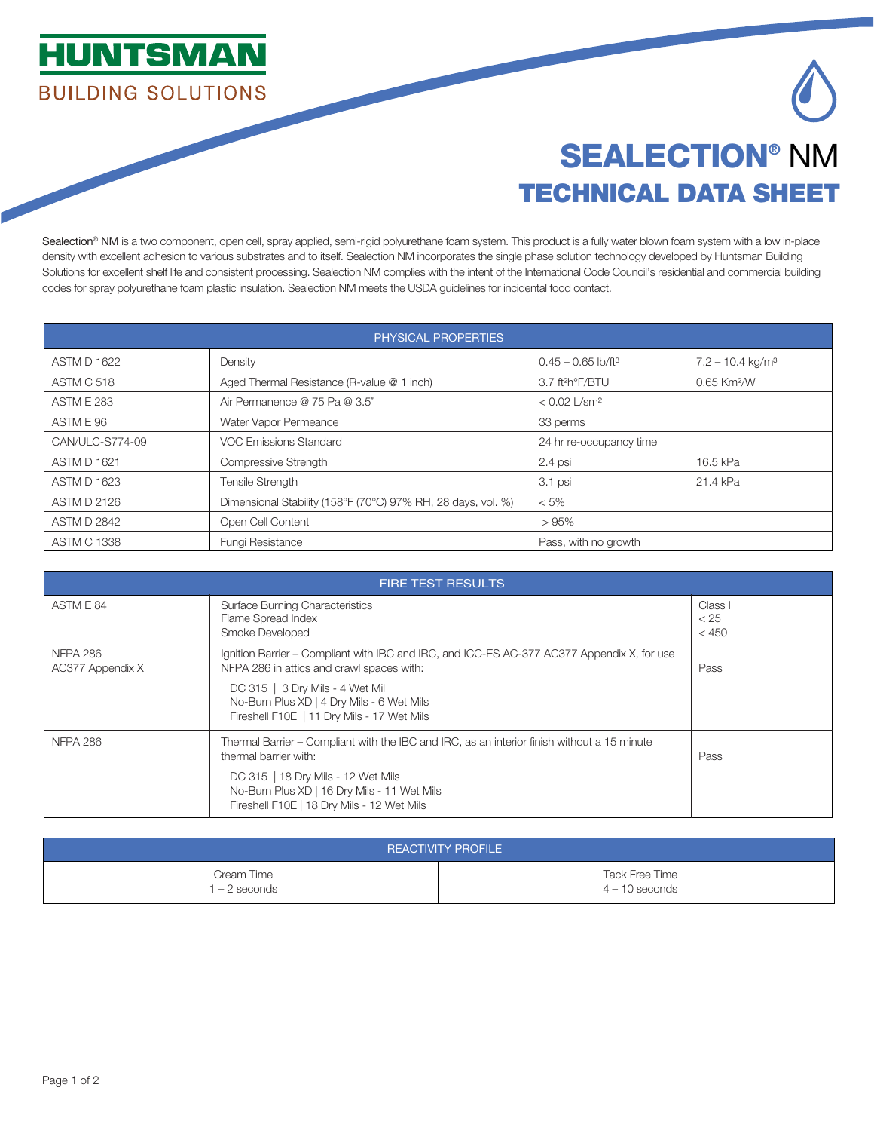



## SEALECTION® NM TECHNICAL DATA SHEET

Sealection® NM is a two component, open cell, spray applied, semi-rigid polyurethane foam system. This product is a fully water blown foam system with a low in-place density with excellent adhesion to various substrates and to itself. Sealection NM incorporates the single phase solution technology developed by Huntsman Building Solutions for excellent shelf life and consistent processing. Sealection NM complies with the intent of the International Code Council's residential and commercial building codes for spray polyurethane foam plastic insulation. Sealection NM meets the USDA guidelines for incidental food contact.

| PHYSICAL PROPERTIES |                                                              |                                  |                                |  |  |
|---------------------|--------------------------------------------------------------|----------------------------------|--------------------------------|--|--|
| <b>ASTM D 1622</b>  | Density                                                      | $0.45 - 0.65$ lb/ft <sup>3</sup> | $7.2 - 10.4$ kg/m <sup>3</sup> |  |  |
| ASTM C 518          | Aged Thermal Resistance (R-value @ 1 inch)                   | 3.7 ft <sup>2</sup> h°F/BTU      | 0.65 Km <sup>2</sup> /W        |  |  |
| <b>ASTM E 283</b>   | Air Permanence @ 75 Pa @ 3.5"                                | $< 0.02$ L/sm <sup>2</sup>       |                                |  |  |
| ASTM E 96           | Water Vapor Permeance                                        | 33 perms                         |                                |  |  |
| CAN/ULC-S774-09     | VOC Emissions Standard                                       | 24 hr re-occupancy time          |                                |  |  |
| ASTM D 1621         | Compressive Strength                                         | 2.4 psi                          | 16.5 kPa                       |  |  |
| <b>ASTM D 1623</b>  | <b>Tensile Strength</b>                                      | 3.1 psi                          | 21.4 kPa                       |  |  |
| <b>ASTM D 2126</b>  | Dimensional Stability (158°F (70°C) 97% RH, 28 days, vol. %) | $< 5\%$                          |                                |  |  |
| <b>ASTM D 2842</b>  | Open Cell Content                                            | >95%                             |                                |  |  |
| <b>ASTM C 1338</b>  | Fungi Resistance                                             | Pass, with no growth             |                                |  |  |

| <b>FIRE TEST RESULTS</b>            |                                                                                                                                                                            |                          |  |
|-------------------------------------|----------------------------------------------------------------------------------------------------------------------------------------------------------------------------|--------------------------|--|
| ASTM E 84                           | <b>Surface Burning Characteristics</b><br>Flame Spread Index<br>Smoke Developed                                                                                            | Class I<br>< 25<br>< 450 |  |
| <b>NFPA 286</b><br>AC377 Appendix X | Ignition Barrier – Compliant with IBC and IRC, and ICC-ES AC-377 AC377 Appendix X, for use<br>NFPA 286 in attics and crawl spaces with:<br>DC 315   3 Dry Mils - 4 Wet Mil | Pass                     |  |
|                                     | No-Burn Plus XD   4 Dry Mils - 6 Wet Mils<br>Fireshell F10E   11 Dry Mils - 17 Wet Mils                                                                                    |                          |  |
| <b>NFPA 286</b>                     | Thermal Barrier – Compliant with the IBC and IRC, as an interior finish without a 15 minute<br>thermal barrier with:                                                       | Pass                     |  |
|                                     | DC 315   18 Dry Mils - 12 Wet Mils<br>No-Burn Plus XD   16 Dry Mils - 11 Wet Mils<br>Fireshell F10E   18 Dry Mils - 12 Wet Mils                                            |                          |  |

| <b>REACTIVITY PROFILE</b> |                  |  |  |  |
|---------------------------|------------------|--|--|--|
| Cream Time                | Tack Free Time   |  |  |  |
| $-2$ seconds              | $4 - 10$ seconds |  |  |  |